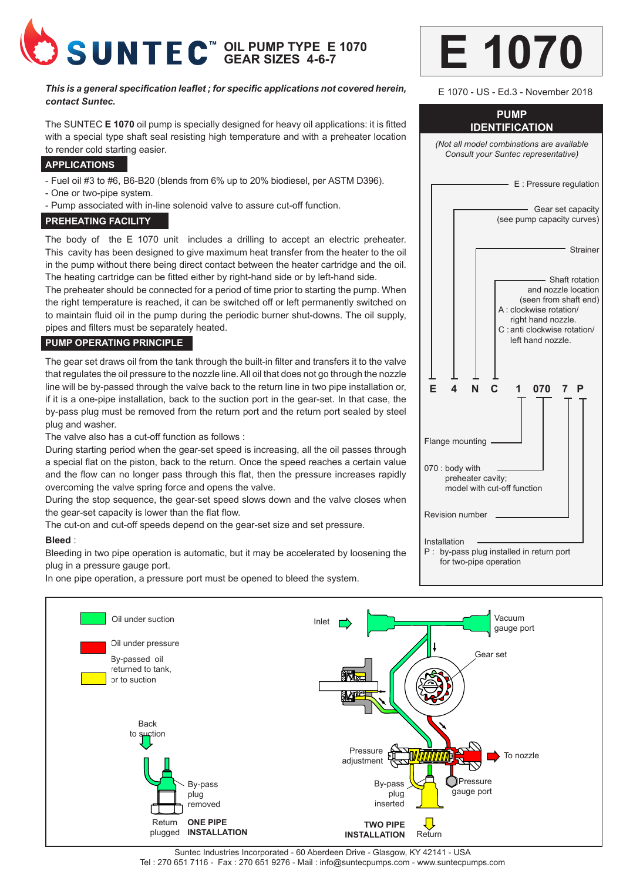

#### *This is a general specification leaflet ; for specific applications not covered herein, contact Suntec.*

The SUNTEC **E 1070** oil pump is specially designed for heavy oil applications: it is fitted with a special type shaft seal resisting high temperature and with a preheater location to render cold starting easier.

#### **APPLICATIONS**

- Fuel oil #3 to #6, B6-B20 (blends from 6% up to 20% biodiesel, per ASTM D396).
- One or two-pipe system.
- Pump associated with in-line solenoid valve to assure cut-off function.

#### **PREHEATING FACILITY**

The body of the E 1070 unit includes a drilling to accept an electric preheater. This cavity has been designed to give maximum heat transfer from the heater to the oil in the pump without there being direct contact between the heater cartridge and the oil. The heating cartridge can be fitted either by right-hand side or by left-hand side.

The preheater should be connected for a period of time prior to starting the pump. When the right temperature is reached, it can be switched off or left permanently switched on to maintain fluid oil in the pump during the periodic burner shut-downs. The oil supply, pipes and filters must be separately heated.

### **PUMP OPERATING PRINCIPLE**

The gear set draws oil from the tank through the built-in filter and transfers it to the valve that regulates the oil pressure to the nozzle line. All oil that does not go through the nozzle line will be by-passed through the valve back to the return line in two pipe installation or, if it is a one-pipe installation, back to the suction port in the gear-set. In that case, the by-pass plug must be removed from the return port and the return port sealed by steel plug and washer.

The valve also has a cut-off function as follows :

During starting period when the gear-set speed is increasing, all the oil passes through a special flat on the piston, back to the return. Once the speed reaches a certain value and the flow can no longer pass through this flat, then the pressure increases rapidly overcoming the valve spring force and opens the valve.

During the stop sequence, the gear-set speed slows down and the valve closes when the gear-set capacity is lower than the flat flow.

The cut-on and cut-off speeds depend on the gear-set size and set pressure.

#### **Bleed** :

Bleeding in two pipe operation is automatic, but it may be accelerated by loosening the plug in a pressure gauge port.

In one pipe operation, a pressure port must be opened to bleed the system.

|  |  | 1070 |
|--|--|------|
|  |  |      |

# **PUMP IDENTIFICATION** *(Not all model combinations are available Consult your Suntec representative)* - E : Pressure regulation Gear set capacity (see pump capacity curves) **Strainer** Shaft rotation and nozzle location (seen from shaft end) A : clockwise rotation/ right hand nozzle. C : anti clockwise rotation/ left hand nozzle.  **E 4 N C 1 070 7 P**  Flange mounting 070 : body with preheater cavity; model with cut-off function Revision number Installation P : by-pass plug installed in return port for two-pipe operation E 1070 - US - Ed.3 - November 2018



Suntec Industries Incorporated - 60 Aberdeen Drive - Glasgow, KY 42141 - USA Tel : 270 651 7116 - Fax : 270 651 9276 - Mail : info@suntecpumps.com - www.suntecpumps.com